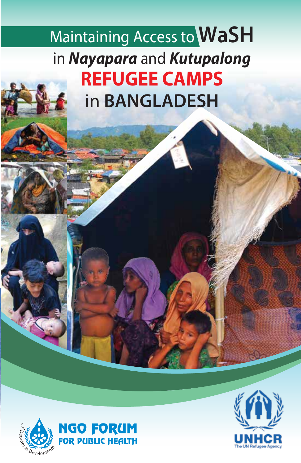Maintaining Access to **WaSH** in *Nayapara* and *Kutupalong* **REFUGEE CAMPS** in **BANGLADESH**



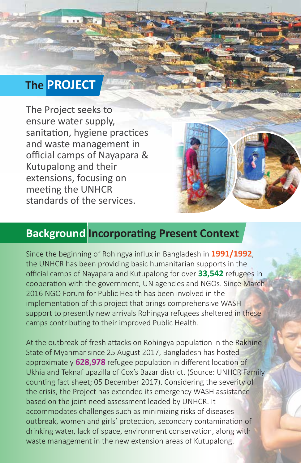### **The PROJECT**

The Project seeks to ensure water supply, sanitation, hygiene practices and waste management in official camps of Nayapara & Kutupalong and their extensions, focusing on meeting the UNHCR standards of the services.

### **Background Incorporating Present Context**

Since the beginning of Rohingya influx in Bangladesh in **1991/1992**, the UNHCR has been providing basic humanitarian supports in the official camps of Nayapara and Kutupalong for over **33,542** refugees in cooperation with the government, UN agencies and NGOs. Since March 2016 NGO Forum for Public Health has been involved in the implementation of this project that brings comprehensive WASH support to presently new arrivals Rohingya refugees sheltered in these camps contributing to their improved Public Health.

At the outbreak of fresh attacks on Rohingya population in the Rakhine State of Myanmar since 25 August 2017, Bangladesh has hosted approximately **628,978** refugee population in different location of Ukhia and Teknaf upazilla of Cox's Bazar district. (Source: UNHCR Family counting fact sheet; 05 December 2017). Considering the severity of the crisis, the Project has extended its emergency WASH assistance based on the joint need assessment leaded by UNHCR. It accommodates challenges such as minimizing risks of diseases outbreak, women and girls' protection, secondary contamination of drinking water, lack of space, environment conservation, along with waste management in the new extension areas of Kutupalong.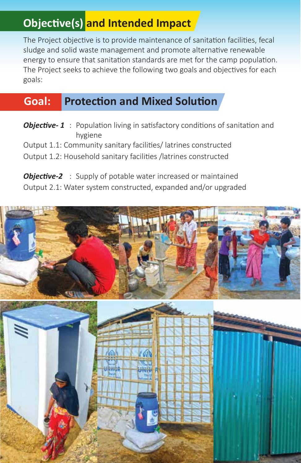# **Objective(s) and Intended Impact**

The Project objective is to provide maintenance of sanitation facilities, fecal sludge and solid waste management and promote alternative renewable energy to ensure that sanitation standards are met for the camp population. The Project seeks to achieve the following two goals and objectives for each goals:

### **Goal: Protection and Mixed Solution**

**Objective-1** : Population living in satisfactory conditions of sanitation and hygiene

Output 1.1: Community sanitary facilities/ latrines constructed

Output 1.2: Household sanitary facilities /latrines constructed

*Objective-2* : Supply of potable water increased or maintained Output 2.1: Water system constructed, expanded and/or upgraded

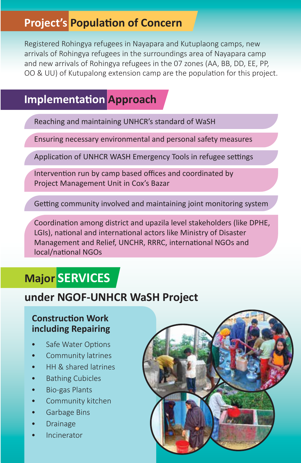## **Project's Population of Concern**

Registered Rohingya refugees in Nayapara and Kutuplaong camps, new arrivals of Rohingya refugees in the surroundings area of Nayapara camp and new arrivals of Rohingya refugees in the 07 zones (AA, BB, DD, EE, PP, OO & UU) of Kutupalong extension camp are the population for this project.

### **Implementation Approach**

Reaching and maintaining UNHCR's standard of WaSH

Ensuring necessary environmental and personal safety measures

Application of UNHCR WASH Emergency Tools in refugee settings

Intervention run by camp based offices and coordinated by Project Management Unit in Cox's Bazar

Getting community involved and maintaining joint monitoring system

Coordination among district and upazila level stakeholders (like DPHE, LGIs), national and international actors like Ministry of Disaster Management and Relief, UNCHR, RRRC, international NGOs and local/national NGOs

## **Major SERVICES**

### **under NGOF-UNHCR WaSH Project**

#### **Construction Work including Repairing**

- Safe Water Options
- Community latrines
- HH & shared latrines
- Bathing Cubicles
- Bio-gas Plants
- Community kitchen
- Garbage Bins
- Drainage
- **Incinerator**

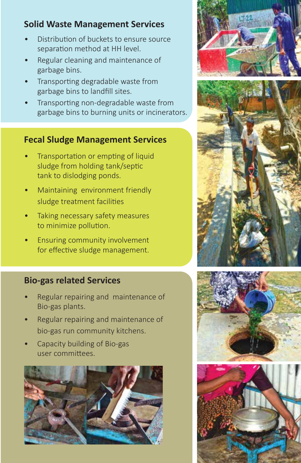### **Solid Waste Management Services**

- Distribution of buckets to ensure source separation method at HH level.
- Regular cleaning and maintenance of garbage bins.
- Transporting degradable waste from garbage bins to landfill sites.
- Transporting non-degradable waste from garbage bins to burning units or incinerators.

#### **Fecal Sludge Management Services**

- Transportation or empting of liquid sludge from holding tank/septic tank to dislodging ponds.
- Maintaining environment friendly sludge treatment facilities
- Taking necessary safety measures to minimize pollution.
- Ensuring community involvement for effective sludge management.

#### **Bio-gas related Services**

- Regular repairing and maintenance of Bio-gas plants.
- Regular repairing and maintenance of bio-gas run community kitchens.
- Capacity building of Bio-gas user commi�ees.









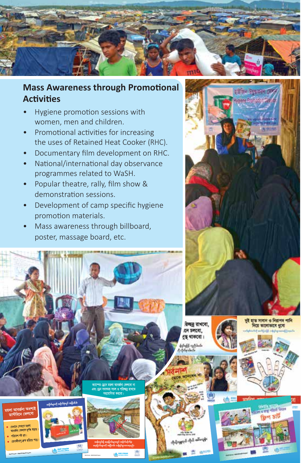

#### **Mass Awareness through Promotional Activities**

- Hygiene promotion sessions with women, men and children.
- Promotional activities for increasing the uses of Retained Heat Cooker (RHC).
- Documentary film development on RHC.
- National/international day observance programmes related to WaSH.
- Popular theatre, rally, film show & demonstration sessions.
- Development of camp specific hygiene promotion materials.
- Mass awareness through billboard, poster, massage board, etc.





FOR PUBLIC HEALTH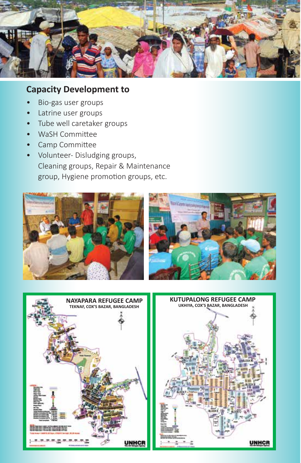

#### **Capacity Development to**

- Bio-gas user groups
- Latrine user groups
- Tube well caretaker groups
- WaSH Committee
- Camp Committee
- Volunteer- Disludging groups, Cleaning groups, Repair & Maintenance group, Hygiene promotion groups, etc.